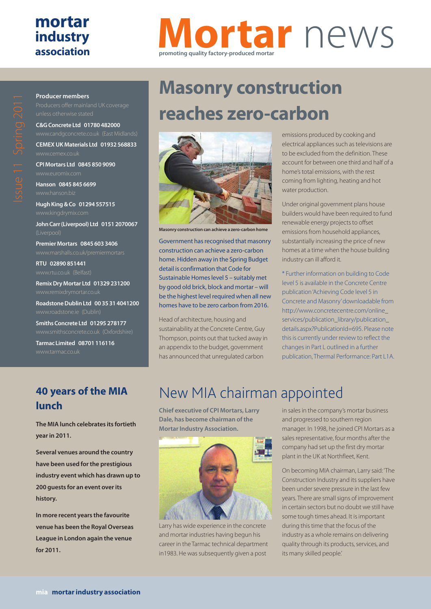## **mortar industry association**

# **Mortar** news **promoting quality factory-produced mortar**

# $\bigcirc$

**Producer members**

unless otherwise stated

**C&G Concrete Ltd 01780 482000**

**CEMEX UK Materials Ltd 01932 568833**

**CPI Mortars Ltd 0845 850 9090**

**Hanson 0845 845 6699**

**Hugh King & Co 01294 557515**

**John Carr (Liverpool) Ltd 0151 2070067**

**Premier Mortars 0845 603 3406**

**RTU 02890 851441**

**Remix Dry Mortar Ltd 01329 231200**

**Roadstone Dublin Ltd 00 35 31 4041200**

**Smiths Concrete Ltd 01295 278177**

**Tarmac Limited 08701 116116**

# **Masonry construction reaches zero-carbon**



**Masonry construction can achieve a zero-carbon home**

Government has recognised that masonry construction can achieve a zero-carbon home. Hidden away in the Spring Budget detail is confirmation that Code for Sustainable Homes level 5 – suitably met by good old brick, block and mortar – will be the highest level required when all new homes have to be zero carbon from 2016.

Head of architecture, housing and sustainability at the Concrete Centre, Guy Thompson, points out that tucked away in an appendix to the budget, government has announced that unregulated carbon

emissions produced by cooking and electrical appliances such as televisions are to be excluded from the definition. These account for between one third and half of a home's total emissions, with the rest coming from lighting, heating and hot water production.

Under original government plans house builders would have been required to fund renewable energy projects to offset emissions from household appliances, substantially increasing the price of new homes at a time when the house building industry can ill afford it.

\* Further information on building to Code level 5 is available in the Concrete Centre publication 'Achieving Code level 5 in Concrete and Masonry'downloadable from http://www.concretecentre.com/online\_ services/publication\_library/publication\_ details.aspx?PublicationId=695. Please note this is currently under review to reflect the changes in Part L outlined in a further publication, Thermal Performance: Part L1A.

### **40 years of the MIA lunch**

**The MIA lunch celebrates its fortieth year in 2011.**

**Several venues around the country have been used for the prestigious industry event which has drawn up to 200 guests for an event over its history.** 

**In more recent years the favourite venue has been the Royal Overseas League in London again the venue for 2011.** 

# New MIA chairman appointed

**Chief executive of CPI Mortars, Larry Dale, has become chairman of the Mortar Industry Association.**



Larry has wide experience in the concrete and mortar industries having begun his career in the Tarmac technical department in1983. He was subsequently given a post

in sales in the company's mortar business and progressed to southern region manager. In 1998, he joined CPI Mortars as a sales representative, four months after the company had set up the first dry mortar plant in the UK at Northfleet, Kent.

On becoming MIA chairman, Larry said: 'The Construction Industry and its suppliers have been under severe pressure in the last few years. There are small signs of improvement in certain sectors but no doubt we still have some tough times ahead. It is important during this time that the focus of the industry as a whole remains on delivering quality through its products, services, and its many skilled people.'